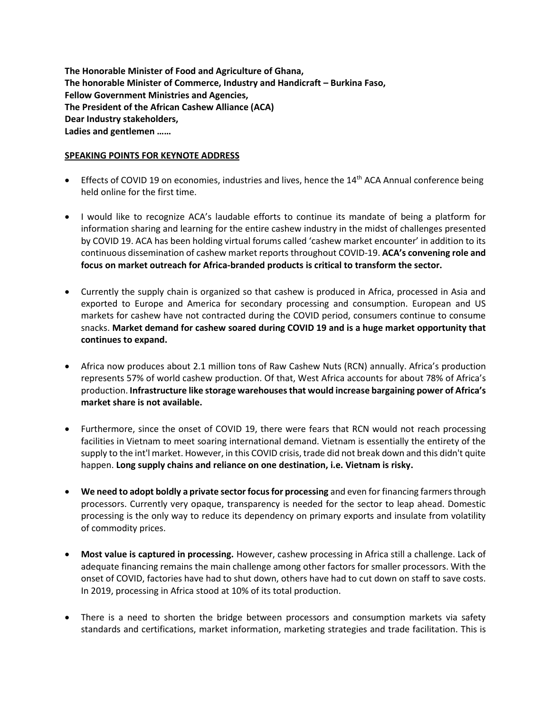**The Honorable Minister of Food and Agriculture of Ghana, The honorable Minister of Commerce, Industry and Handicraft – Burkina Faso, Fellow Government Ministries and Agencies, The President of the African Cashew Alliance (ACA) Dear Industry stakeholders, Ladies and gentlemen ……**

## **SPEAKING POINTS FOR KEYNOTE ADDRESS**

- Effects of COVID 19 on economies, industries and lives, hence the  $14<sup>th</sup>$  ACA Annual conference being held online for the first time.
- I would like to recognize ACA's laudable efforts to continue its mandate of being a platform for information sharing and learning for the entire cashew industry in the midst of challenges presented by COVID 19. ACA has been holding virtual forums called 'cashew market encounter' in addition to its continuous dissemination of cashew market reports throughout COVID-19. **ACA's convening role and focus on market outreach for Africa-branded products is critical to transform the sector.**
- Currently the supply chain is organized so that cashew is produced in Africa, processed in Asia and exported to Europe and America for secondary processing and consumption. European and US markets for cashew have not contracted during the COVID period, consumers continue to consume snacks. **Market demand for cashew soared during COVID 19 and is a huge market opportunity that continues to expand.**
- Africa now produces about 2.1 million tons of Raw Cashew Nuts (RCN) annually. Africa's production represents 57% of world cashew production. Of that, West Africa accounts for about 78% of Africa's production. **Infrastructure like storage warehouses that would increase bargaining power of Africa's market share is not available.**
- Furthermore, since the onset of COVID 19, there were fears that RCN would not reach processing facilities in Vietnam to meet soaring international demand. Vietnam is essentially the entirety of the supply to the int'l market. However, in this COVID crisis, trade did not break down and this didn't quite happen. **Long supply chains and reliance on one destination, i.e. Vietnam is risky.**
- **We need to adopt boldly a private sector focus for processing** and even for financing farmers through processors. Currently very opaque, transparency is needed for the sector to leap ahead. Domestic processing is the only way to reduce its dependency on primary exports and insulate from volatility of commodity prices.
- **Most value is captured in processing.** However, cashew processing in Africa still a challenge. Lack of adequate financing remains the main challenge among other factors for smaller processors. With the onset of COVID, factories have had to shut down, others have had to cut down on staff to save costs. In 2019, processing in Africa stood at 10% of its total production.
- There is a need to shorten the bridge between processors and consumption markets via safety standards and certifications, market information, marketing strategies and trade facilitation. This is